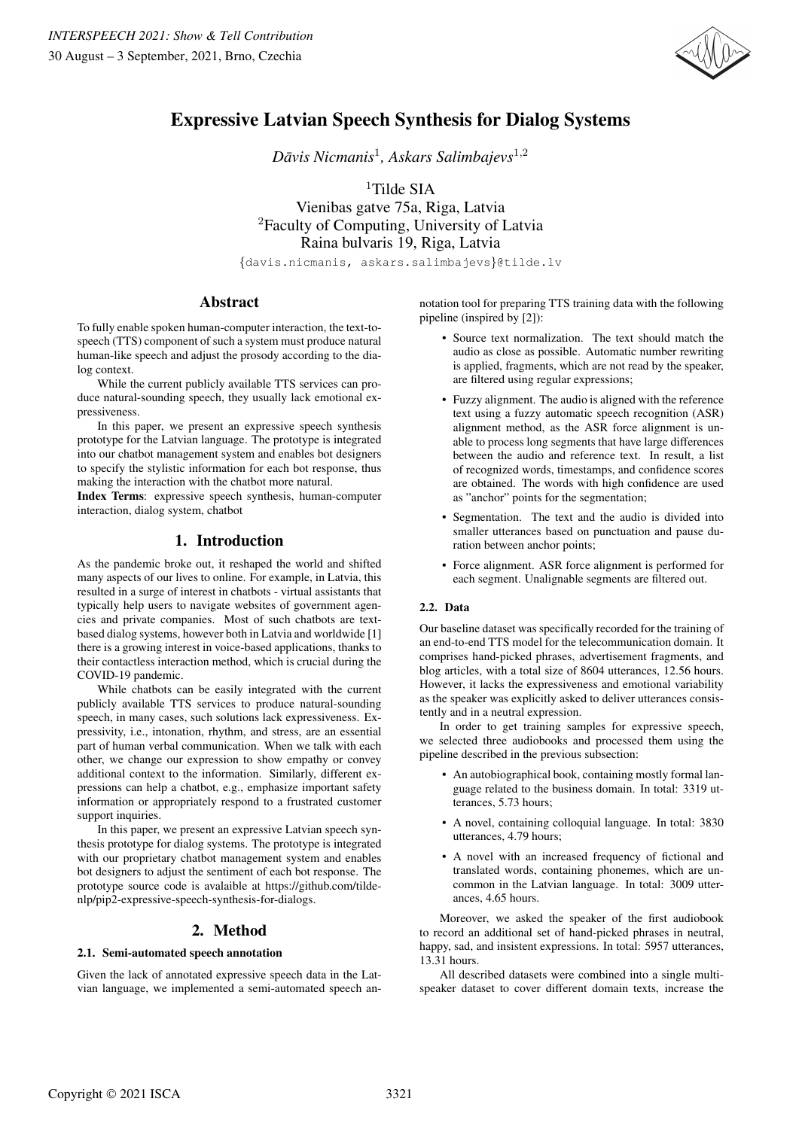

# Expressive Latvian Speech Synthesis for Dialog Systems

*Davis Nicmanis ¯* 1 *, Askars Salimbajevs*<sup>1</sup>,<sup>2</sup>

<sup>1</sup>Tilde SIA

Vienibas gatve 75a, Riga, Latvia <sup>2</sup>Faculty of Computing, University of Latvia Raina bulvaris 19, Riga, Latvia

{davis.nicmanis, askars.salimbajevs}@tilde.lv

# Abstract

To fully enable spoken human-computer interaction, the text-tospeech (TTS) component of such a system must produce natural human-like speech and adjust the prosody according to the dialog context.

While the current publicly available TTS services can produce natural-sounding speech, they usually lack emotional expressiveness.

In this paper, we present an expressive speech synthesis prototype for the Latvian language. The prototype is integrated into our chatbot management system and enables bot designers to specify the stylistic information for each bot response, thus making the interaction with the chatbot more natural.

Index Terms: expressive speech synthesis, human-computer interaction, dialog system, chatbot

# 1. Introduction

As the pandemic broke out, it reshaped the world and shifted many aspects of our lives to online. For example, in Latvia, this resulted in a surge of interest in chatbots - virtual assistants that typically help users to navigate websites of government agencies and private companies. Most of such chatbots are textbased dialog systems, however both in Latvia and worldwide [1] there is a growing interest in voice-based applications, thanks to their contactless interaction method, which is crucial during the COVID-19 pandemic.

While chatbots can be easily integrated with the current publicly available TTS services to produce natural-sounding speech, in many cases, such solutions lack expressiveness. Expressivity, i.e., intonation, rhythm, and stress, are an essential part of human verbal communication. When we talk with each other, we change our expression to show empathy or convey additional context to the information. Similarly, different expressions can help a chatbot, e.g., emphasize important safety information or appropriately respond to a frustrated customer support inquiries.

In this paper, we present an expressive Latvian speech synthesis prototype for dialog systems. The prototype is integrated with our proprietary chatbot management system and enables bot designers to adjust the sentiment of each bot response. The prototype source code is avalaible at https://github.com/tildenlp/pip2-expressive-speech-synthesis-for-dialogs.

# 2. Method

## 2.1. Semi-automated speech annotation

Given the lack of annotated expressive speech data in the Latvian language, we implemented a semi-automated speech annotation tool for preparing TTS training data with the following pipeline (inspired by [2]):

- Source text normalization. The text should match the audio as close as possible. Automatic number rewriting is applied, fragments, which are not read by the speaker, are filtered using regular expressions;
- Fuzzy alignment. The audio is aligned with the reference text using a fuzzy automatic speech recognition (ASR) alignment method, as the ASR force alignment is unable to process long segments that have large differences between the audio and reference text. In result, a list of recognized words, timestamps, and confidence scores are obtained. The words with high confidence are used as "anchor" points for the segmentation;
- Segmentation. The text and the audio is divided into smaller utterances based on punctuation and pause duration between anchor points;
- Force alignment. ASR force alignment is performed for each segment. Unalignable segments are filtered out.

### 2.2. Data

Our baseline dataset was specifically recorded for the training of an end-to-end TTS model for the telecommunication domain. It comprises hand-picked phrases, advertisement fragments, and blog articles, with a total size of 8604 utterances, 12.56 hours. However, it lacks the expressiveness and emotional variability as the speaker was explicitly asked to deliver utterances consistently and in a neutral expression.

In order to get training samples for expressive speech, we selected three audiobooks and processed them using the pipeline described in the previous subsection:

- An autobiographical book, containing mostly formal language related to the business domain. In total: 3319 utterances, 5.73 hours;
- A novel, containing colloquial language. In total: 3830 utterances, 4.79 hours;
- A novel with an increased frequency of fictional and translated words, containing phonemes, which are uncommon in the Latvian language. In total: 3009 utterances, 4.65 hours.

Moreover, we asked the speaker of the first audiobook to record an additional set of hand-picked phrases in neutral, happy, sad, and insistent expressions. In total: 5957 utterances, 13.31 hours.

All described datasets were combined into a single multispeaker dataset to cover different domain texts, increase the